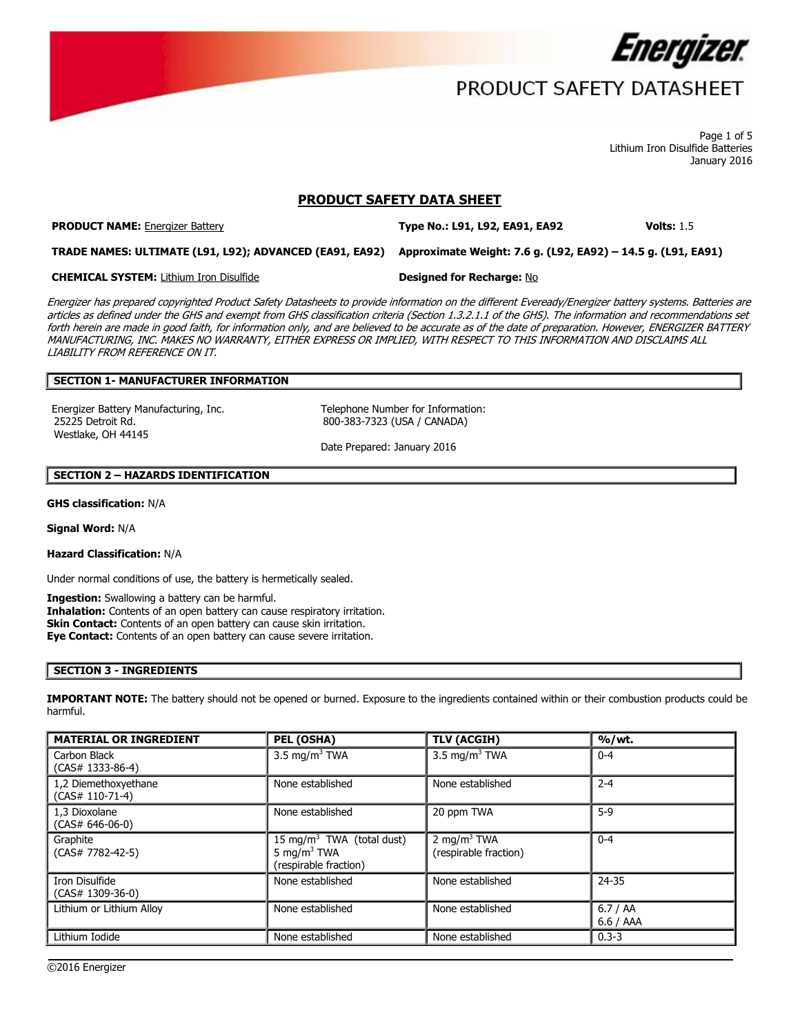

Page 1 of 5 Lithium Iron Disulfide Batteries January 2016

## **PRODUCT SAFETY DATA SHEET**

**PRODUCT NAME:** Energizer Battery **Type No.: L91, L92, EA91, EA92 Volts:** 1.5

**TRADE NAMES: ULTIMATE (L91, L92); ADVANCED (EA91, EA92) Approximate Weight: 7.6 g. (L92, EA92) – 14.5 g. (L91, EA91)**

**CHEMICAL SYSTEM:** Lithium Iron Disulfide **Designed for Recharge:** No

Energizer has prepared copyrighted Product Safety Datasheets to provide information on the different Eveready/Energizer battery systems. Batteries are articles as defined under the GHS and exempt from GHS classification criteria (Section 1.3.2.1.1 of the GHS). The information and recommendations set forth herein are made in good faith, for information only, and are believed to be accurate as of the date of preparation. However, ENERGIZER BATTERY MANUFACTURING, INC. MAKES NO WARRANTY, EITHER EXPRESS OR IMPLIED, WITH RESPECT TO THIS INFORMATION AND DISCLAIMS ALL LIABILITY FROM REFERENCE ON IT.

## **SECTION 1- MANUFACTURER INFORMATION**

Energizer Battery Manufacturing, Inc. Telephone Number for Information: 25225 Detroit Rd. Westlake, OH 44145

800-383-7323 (USA / CANADA)

Date Prepared: January 2016

#### **SECTION 2 – HAZARDS IDENTIFICATION**

**GHS classification:** N/A

**Signal Word:** N/A

**Hazard Classification:** N/A

Under normal conditions of use, the battery is hermetically sealed.

**Ingestion:** Swallowing a battery can be harmful.

**Inhalation:** Contents of an open battery can cause respiratory irritation. **Skin Contact:** Contents of an open battery can cause skin irritation. **Eye Contact:** Contents of an open battery can cause severe irritation.

# **SECTION 3 - INGREDIENTS**

**IMPORTANT NOTE:** The battery should not be opened or burned. Exposure to the ingredients contained within or their combustion products could be harmful.

| <b>MATERIAL OR INGREDIENT</b>             | PEL (OSHA)                                                                                | <b>TLV (ACGIH)</b>                               | %/wt.                 |
|-------------------------------------------|-------------------------------------------------------------------------------------------|--------------------------------------------------|-----------------------|
| Carbon Black<br>$(CAS# 1333-86-4)$        | 3.5 mg/m <sup>3</sup> TWA                                                                 | 3.5 mg/m <sup>3</sup> TWA                        | $0 - 4$               |
| 1,2 Diemethoxyethane<br>$(CAS# 110-71-4)$ | None established                                                                          | None established                                 | $2 - 4$               |
| 1,3 Dioxolane<br>$(CAS# 646-06-0)$        | None established                                                                          | 20 ppm TWA                                       | $5-9$                 |
| Graphite<br>$(CAS# 7782-42-5)$            | 15 mg/m <sup>3</sup> TWA (total dust)<br>5 mg/m <sup>3</sup> TWA<br>(respirable fraction) | 2 mg/m <sup>3</sup> TWA<br>(respirable fraction) | $0 - 4$               |
| Iron Disulfide<br>$(CAS# 1309-36-0)$      | None established                                                                          | None established                                 | 24-35                 |
| Lithium or Lithium Alloy                  | None established                                                                          | None established                                 | 6.7/AA<br>$6.6$ / AAA |
| Lithium Iodide                            | None established                                                                          | None established                                 | $0.3 - 3$             |

 $\overline{\phantom{a}}$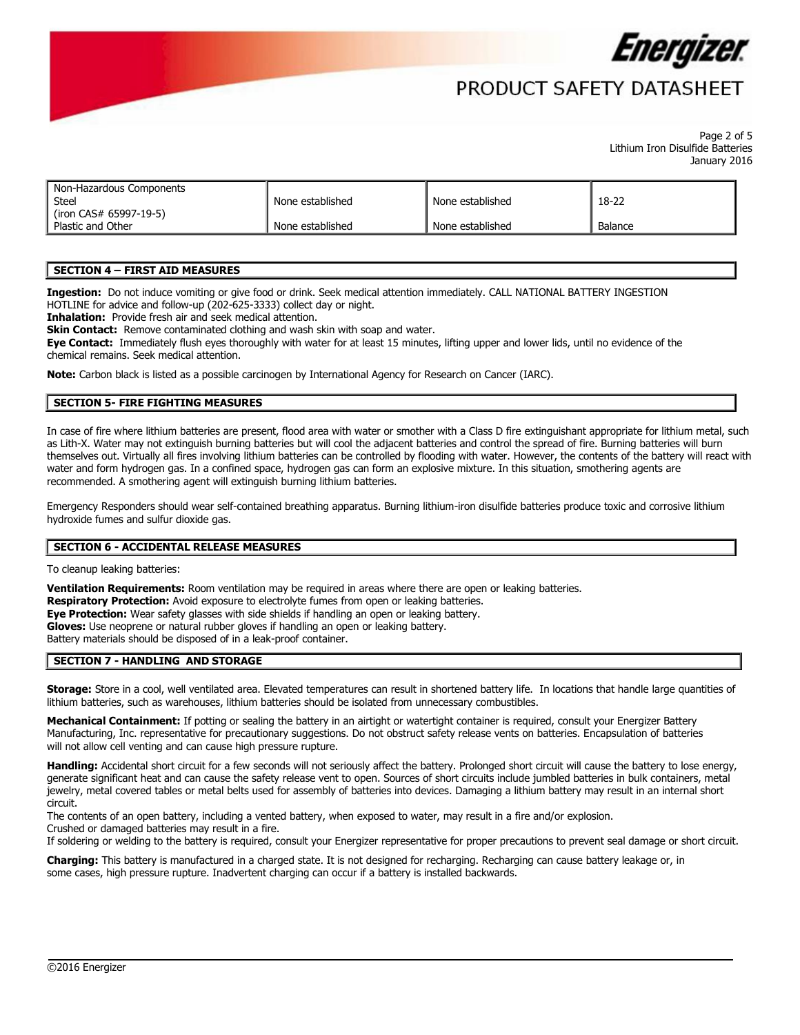

# PRODUCT SAFFTY DATASHFFT

Page 2 of 5 Lithium Iron Disulfide Batteries January 2016

| Non-Hazardous Components<br><b>Steel</b>    | None established | None established | 18-22   |
|---------------------------------------------|------------------|------------------|---------|
| (iron CAS# 65997-19-5)<br>Plastic and Other | None established | None established | Balance |

#### **SECTION 4 – FIRST AID MEASURES**

**Ingestion:** Do not induce vomiting or give food or drink. Seek medical attention immediately. CALL NATIONAL BATTERY INGESTION HOTLINE for advice and follow-up (202-625-3333) collect day or night.

**Inhalation:** Provide fresh air and seek medical attention.

**Skin Contact:** Remove contaminated clothing and wash skin with soap and water.

**Eye Contact:** Immediately flush eyes thoroughly with water for at least 15 minutes, lifting upper and lower lids, until no evidence of the chemical remains. Seek medical attention.

**Note:** Carbon black is listed as a possible carcinogen by International Agency for Research on Cancer (IARC).

### **SECTION 5- FIRE FIGHTING MEASURES**

In case of fire where lithium batteries are present, flood area with water or smother with a Class D fire extinguishant appropriate for lithium metal, such as Lith-X. Water may not extinguish burning batteries but will cool the adjacent batteries and control the spread of fire. Burning batteries will burn themselves out. Virtually all fires involving lithium batteries can be controlled by flooding with water. However, the contents of the battery will react with water and form hydrogen gas. In a confined space, hydrogen gas can form an explosive mixture. In this situation, smothering agents are recommended. A smothering agent will extinguish burning lithium batteries.

Emergency Responders should wear self-contained breathing apparatus. Burning lithium-iron disulfide batteries produce toxic and corrosive lithium hydroxide fumes and sulfur dioxide gas.

### **SECTION 6 - ACCIDENTAL RELEASE MEASURES**

To cleanup leaking batteries:

**Ventilation Requirements:** Room ventilation may be required in areas where there are open or leaking batteries. **Respiratory Protection:** Avoid exposure to electrolyte fumes from open or leaking batteries. **Eye Protection:** Wear safety glasses with side shields if handling an open or leaking battery. **Gloves:** Use neoprene or natural rubber gloves if handling an open or leaking battery. Battery materials should be disposed of in a leak-proof container.

#### **SECTION 7 - HANDLING AND STORAGE**

**Storage:** Store in a cool, well ventilated area. Elevated temperatures can result in shortened battery life. In locations that handle large quantities of lithium batteries, such as warehouses, lithium batteries should be isolated from unnecessary combustibles.

**Mechanical Containment:** If potting or sealing the battery in an airtight or watertight container is required, consult your Energizer Battery Manufacturing, Inc. representative for precautionary suggestions. Do not obstruct safety release vents on batteries. Encapsulation of batteries will not allow cell venting and can cause high pressure rupture.

**Handling:** Accidental short circuit for a few seconds will not seriously affect the battery. Prolonged short circuit will cause the battery to lose energy, generate significant heat and can cause the safety release vent to open. Sources of short circuits include jumbled batteries in bulk containers, metal jewelry, metal covered tables or metal belts used for assembly of batteries into devices. Damaging a lithium battery may result in an internal short circuit.

The contents of an open battery, including a vented battery, when exposed to water, may result in a fire and/or explosion. Crushed or damaged batteries may result in a fire.

If soldering or welding to the battery is required, consult your Energizer representative for proper precautions to prevent seal damage or short circuit.

 $\overline{\phantom{a}}$ 

**Charging:** This battery is manufactured in a charged state. It is not designed for recharging. Recharging can cause battery leakage or, in some cases, high pressure rupture. Inadvertent charging can occur if a battery is installed backwards.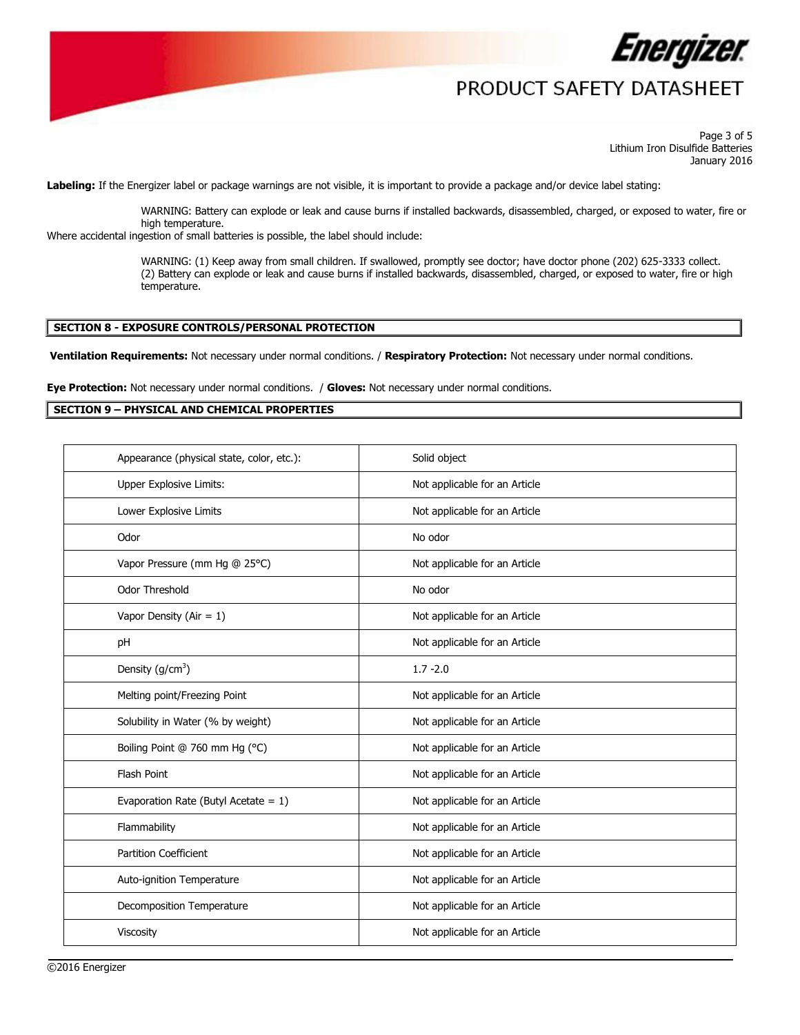

Page 3 of 5 Lithium Iron Disulfide Batteries January 2016

**Labeling:** If the Energizer label or package warnings are not visible, it is important to provide a package and/or device label stating:

WARNING: Battery can explode or leak and cause burns if installed backwards, disassembled, charged, or exposed to water, fire or high temperature.

Where accidental ingestion of small batteries is possible, the label should include:

WARNING: (1) Keep away from small children. If swallowed, promptly see doctor; have doctor phone (202) 625-3333 collect. (2) Battery can explode or leak and cause burns if installed backwards, disassembled, charged, or exposed to water, fire or high temperature.

#### **SECTION 8 - EXPOSURE CONTROLS/PERSONAL PROTECTION**

**Ventilation Requirements:** Not necessary under normal conditions. / **Respiratory Protection:** Not necessary under normal conditions.

**Eye Protection:** Not necessary under normal conditions. / **Gloves:** Not necessary under normal conditions.

#### **SECTION 9 – PHYSICAL AND CHEMICAL PROPERTIES**

| Appearance (physical state, color, etc.): | Solid object                  |
|-------------------------------------------|-------------------------------|
| Upper Explosive Limits:                   | Not applicable for an Article |
| Lower Explosive Limits                    | Not applicable for an Article |
| Odor                                      | No odor                       |
| Vapor Pressure (mm Hg @ 25°C)             | Not applicable for an Article |
| <b>Odor Threshold</b>                     | No odor                       |
| Vapor Density (Air = $1$ )                | Not applicable for an Article |
| pH                                        | Not applicable for an Article |
| Density $(g/cm3)$                         | $1.7 - 2.0$                   |
| Melting point/Freezing Point              | Not applicable for an Article |
| Solubility in Water (% by weight)         | Not applicable for an Article |
| Boiling Point @ 760 mm Hg (°C)            | Not applicable for an Article |
| Flash Point                               | Not applicable for an Article |
| Evaporation Rate (Butyl Acetate = $1$ )   | Not applicable for an Article |
| Flammability                              | Not applicable for an Article |
| <b>Partition Coefficient</b>              | Not applicable for an Article |
| Auto-ignition Temperature                 | Not applicable for an Article |
| Decomposition Temperature                 | Not applicable for an Article |
| Viscosity                                 | Not applicable for an Article |

 $\overline{\phantom{a}}$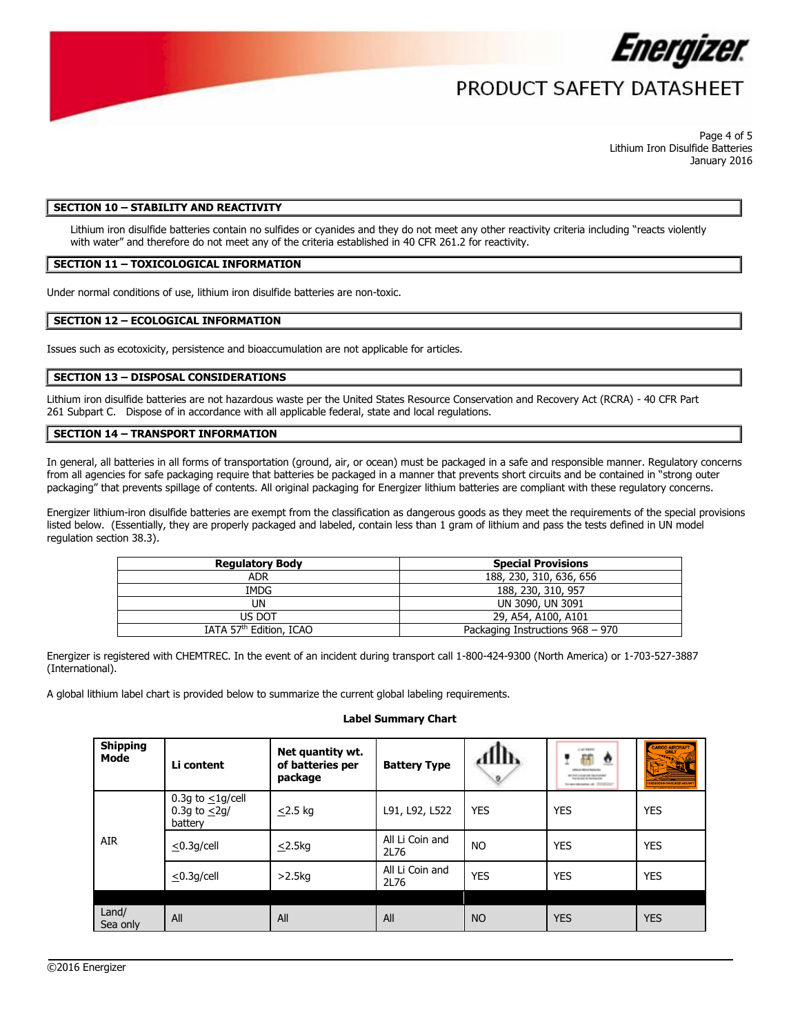

Page 4 of 5 Lithium Iron Disulfide Batteries January 2016

## **SECTION 10 – STABILITY AND REACTIVITY**

Lithium iron disulfide batteries contain no sulfides or cyanides and they do not meet any other reactivity criteria including "reacts violently with water" and therefore do not meet any of the criteria established in 40 CFR 261.2 for reactivity.

#### **SECTION 11 – TOXICOLOGICAL INFORMATION**

Under normal conditions of use, lithium iron disulfide batteries are non-toxic.

#### **SECTION 12 – ECOLOGICAL INFORMATION**

Issues such as ecotoxicity, persistence and bioaccumulation are not applicable for articles.

### **SECTION 13 – DISPOSAL CONSIDERATIONS**

Lithium iron disulfide batteries are not hazardous waste per the United States Resource Conservation and Recovery Act (RCRA) - 40 CFR Part 261 Subpart C. Dispose of in accordance with all applicable federal, state and local regulations.

#### **SECTION 14 – TRANSPORT INFORMATION**

In general, all batteries in all forms of transportation (ground, air, or ocean) must be packaged in a safe and responsible manner. Regulatory concerns from all agencies for safe packaging require that batteries be packaged in a manner that prevents short circuits and be contained in "strong outer packaging" that prevents spillage of contents. All original packaging for Energizer lithium batteries are compliant with these regulatory concerns.

Energizer lithium-iron disulfide batteries are exempt from the classification as dangerous goods as they meet the requirements of the special provisions listed below. (Essentially, they are properly packaged and labeled, contain less than 1 gram of lithium and pass the tests defined in UN model regulation section 38.3).

| <b>Regulatory Body</b>              | <b>Special Provisions</b>        |  |  |
|-------------------------------------|----------------------------------|--|--|
| <b>ADR</b>                          | 188, 230, 310, 636, 656          |  |  |
| IMDG                                | 188, 230, 310, 957               |  |  |
| UN                                  | UN 3090, UN 3091                 |  |  |
| US DOT                              | 29, A54, A100, A101              |  |  |
| IATA 57 <sup>th</sup> Edition, ICAO | Packaging Instructions 968 - 970 |  |  |

Energizer is registered with CHEMTREC. In the event of an incident during transport call 1-800-424-9300 (North America) or 1-703-527-3887 (International).

A global lithium label chart is provided below to summarize the current global labeling requirements.

#### **Label Summary Chart**

| <b>Shipping</b><br>Mode | Li content                                              | Net quantity wt.<br>of batteries per<br>package | <b>Battery Type</b>     | AllIb<br>9 | CALTERN<br>ff<br>$\overline{\mathbf{v}}$<br>NEVADA DE GUARDIA<br>will said at building one<br>For open behindering and . (2012) Contact | CARGO AIRCRAFT<br><u>पर स</u> |
|-------------------------|---------------------------------------------------------|-------------------------------------------------|-------------------------|------------|-----------------------------------------------------------------------------------------------------------------------------------------|-------------------------------|
| AIR                     | 0.3g to $\leq$ 1g/cell<br>0.3g to $\leq$ 2g/<br>battery | $\leq$ 2.5 kg                                   | L91, L92, L522          | <b>YES</b> | YES                                                                                                                                     | <b>YES</b>                    |
|                         | $\leq$ 0.3q/cell                                        | $\leq$ 2.5kg                                    | All Li Coin and<br>2L76 | <b>NO</b>  | YES                                                                                                                                     | <b>YES</b>                    |
|                         | $\leq$ 0.3q/cell                                        | $>2.5$ kg                                       | All Li Coin and<br>2L76 | YES        | YES                                                                                                                                     | <b>YES</b>                    |
| Land/<br>Sea only       | All                                                     | All                                             | All                     | <b>NO</b>  | <b>YES</b>                                                                                                                              | <b>YES</b>                    |

 $\overline{\phantom{a}}$